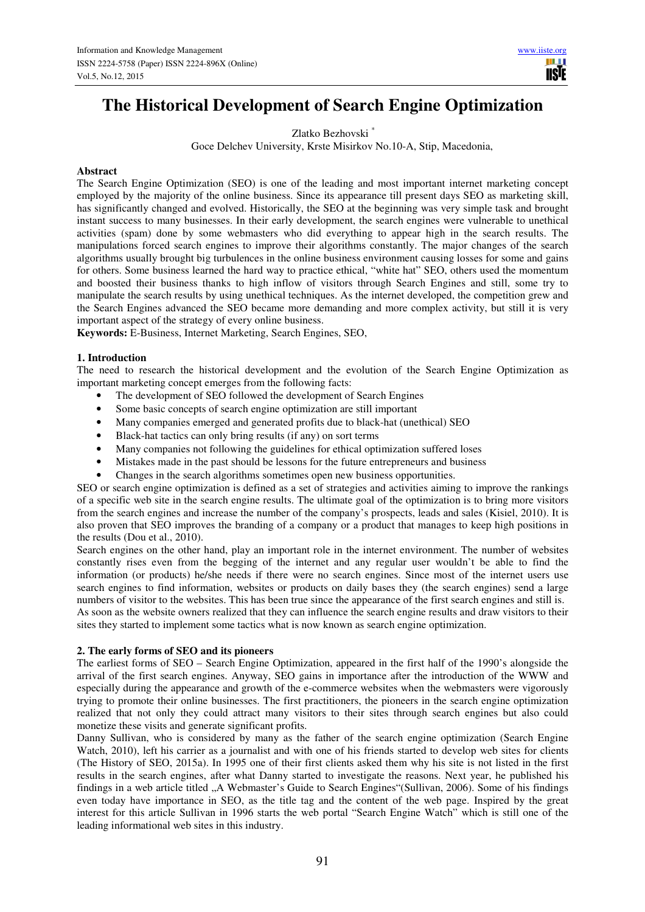# **The Historical Development of Search Engine Optimization**

Zlatko Bezhovski \*

Goce Delchev University, Krste Misirkov No.10-A, Stip, Macedonia,

### **Abstract**

The Search Engine Optimization (SEO) is one of the leading and most important internet marketing concept employed by the majority of the online business. Since its appearance till present days SEO as marketing skill, has significantly changed and evolved. Historically, the SEO at the beginning was very simple task and brought instant success to many businesses. In their early development, the search engines were vulnerable to unethical activities (spam) done by some webmasters who did everything to appear high in the search results. The manipulations forced search engines to improve their algorithms constantly. The major changes of the search algorithms usually brought big turbulences in the online business environment causing losses for some and gains for others. Some business learned the hard way to practice ethical, "white hat" SEO, others used the momentum and boosted their business thanks to high inflow of visitors through Search Engines and still, some try to manipulate the search results by using unethical techniques. As the internet developed, the competition grew and the Search Engines advanced the SEO became more demanding and more complex activity, but still it is very important aspect of the strategy of every online business.

**Keywords:** E-Business, Internet Marketing, Search Engines, SEO,

## **1. Introduction**

The need to research the historical development and the evolution of the Search Engine Optimization as important marketing concept emerges from the following facts:

- The development of SEO followed the development of Search Engines
- Some basic concepts of search engine optimization are still important
- Many companies emerged and generated profits due to black-hat (unethical) SEO
- Black-hat tactics can only bring results (if any) on sort terms
- Many companies not following the guidelines for ethical optimization suffered loses
- Mistakes made in the past should be lessons for the future entrepreneurs and business
- Changes in the search algorithms sometimes open new business opportunities.

SEO or search engine optimization is defined as a set of strategies and activities aiming to improve the rankings of a specific web site in the search engine results. The ultimate goal of the optimization is to bring more visitors from the search engines and increase the number of the company's prospects, leads and sales (Kisiel, 2010). It is also proven that SEO improves the branding of a company or a product that manages to keep high positions in the results (Dou et al., 2010).

Search engines on the other hand, play an important role in the internet environment. The number of websites constantly rises even from the begging of the internet and any regular user wouldn't be able to find the information (or products) he/she needs if there were no search engines. Since most of the internet users use search engines to find information, websites or products on daily bases they (the search engines) send a large numbers of visitor to the websites. This has been true since the appearance of the first search engines and still is.

As soon as the website owners realized that they can influence the search engine results and draw visitors to their sites they started to implement some tactics what is now known as search engine optimization.

#### **2. The early forms of SEO and its pioneers**

The earliest forms of SEO – Search Engine Optimization, appeared in the first half of the 1990's alongside the arrival of the first search engines. Anyway, SEO gains in importance after the introduction of the WWW and especially during the appearance and growth of the e-commerce websites when the webmasters were vigorously trying to promote their online businesses. The first practitioners, the pioneers in the search engine optimization realized that not only they could attract many visitors to their sites through search engines but also could monetize these visits and generate significant profits.

Danny Sullivan, who is considered by many as the father of the search engine optimization (Search Engine Watch, 2010), left his carrier as a journalist and with one of his friends started to develop web sites for clients (The History of SEO, 2015a). In 1995 one of their first clients asked them why his site is not listed in the first results in the search engines, after what Danny started to investigate the reasons. Next year, he published his findings in a web article titled "A Webmaster's Guide to Search Engines"(Sullivan, 2006). Some of his findings even today have importance in SEO, as the title tag and the content of the web page. Inspired by the great interest for this article Sullivan in 1996 starts the web portal "Search Engine Watch" which is still one of the leading informational web sites in this industry.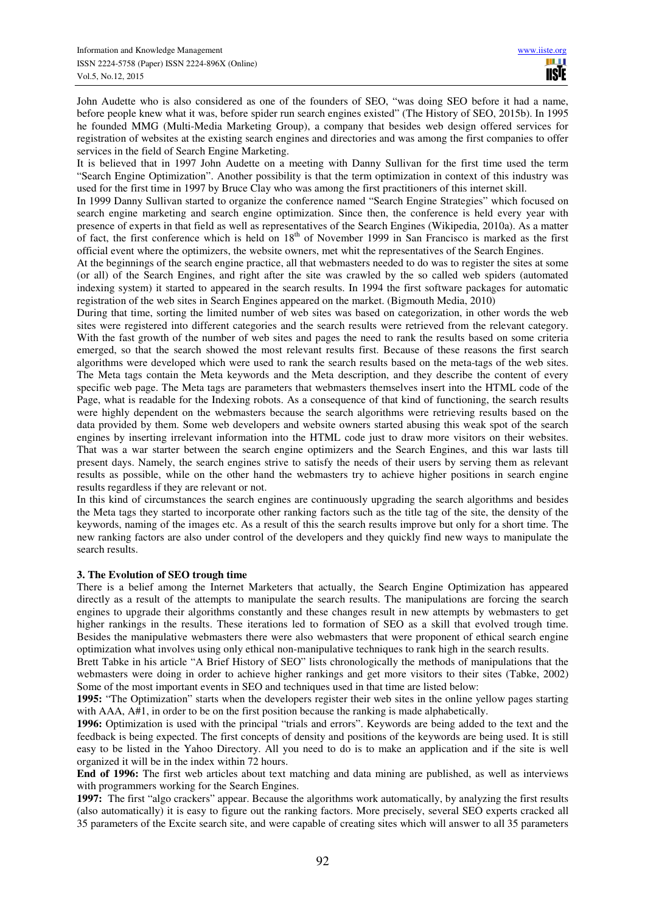John Audette who is also considered as one of the founders of SEO, "was doing SEO before it had a name, before people knew what it was, before spider run search engines existed" (The History of SEO, 2015b). In 1995 he founded MMG (Multi-Media Marketing Group), a company that besides web design offered services for registration of websites at the existing search engines and directories and was among the first companies to offer services in the field of Search Engine Marketing.

It is believed that in 1997 John Audette on a meeting with Danny Sullivan for the first time used the term "Search Engine Optimization". Another possibility is that the term optimization in context of this industry was used for the first time in 1997 by Bruce Clay who was among the first practitioners of this internet skill.

In 1999 Danny Sullivan started to organize the conference named "Search Engine Strategies" which focused on search engine marketing and search engine optimization. Since then, the conference is held every year with presence of experts in that field as well as representatives of the Search Engines (Wikipedia, 2010a). As a matter of fact, the first conference which is held on 18<sup>th</sup> of November 1999 in San Francisco is marked as the first official event where the optimizers, the website owners, met whit the representatives of the Search Engines.

At the beginnings of the search engine practice, all that webmasters needed to do was to register the sites at some (or all) of the Search Engines, and right after the site was crawled by the so called web spiders (automated indexing system) it started to appeared in the search results. In 1994 the first software packages for automatic registration of the web sites in Search Engines appeared on the market. (Bigmouth Media, 2010)

During that time, sorting the limited number of web sites was based on categorization, in other words the web sites were registered into different categories and the search results were retrieved from the relevant category. With the fast growth of the number of web sites and pages the need to rank the results based on some criteria emerged, so that the search showed the most relevant results first. Because of these reasons the first search algorithms were developed which were used to rank the search results based on the meta-tags of the web sites. The Meta tags contain the Meta keywords and the Meta description, and they describe the content of every specific web page. The Meta tags are parameters that webmasters themselves insert into the HTML code of the Page, what is readable for the Indexing robots. As a consequence of that kind of functioning, the search results were highly dependent on the webmasters because the search algorithms were retrieving results based on the data provided by them. Some web developers and website owners started abusing this weak spot of the search engines by inserting irrelevant information into the HTML code just to draw more visitors on their websites. That was a war starter between the search engine optimizers and the Search Engines, and this war lasts till present days. Namely, the search engines strive to satisfy the needs of their users by serving them as relevant results as possible, while on the other hand the webmasters try to achieve higher positions in search engine results regardless if they are relevant or not.

In this kind of circumstances the search engines are continuously upgrading the search algorithms and besides the Meta tags they started to incorporate other ranking factors such as the title tag of the site, the density of the keywords, naming of the images etc. As a result of this the search results improve but only for a short time. The new ranking factors are also under control of the developers and they quickly find new ways to manipulate the search results.

#### **3. The Evolution of SEO trough time**

There is a belief among the Internet Marketers that actually, the Search Engine Optimization has appeared directly as a result of the attempts to manipulate the search results. The manipulations are forcing the search engines to upgrade their algorithms constantly and these changes result in new attempts by webmasters to get higher rankings in the results. These iterations led to formation of SEO as a skill that evolved trough time. Besides the manipulative webmasters there were also webmasters that were proponent of ethical search engine optimization what involves using only ethical non-manipulative techniques to rank high in the search results.

Brett Tabke in his article "A Brief History of SEO" lists chronologically the methods of manipulations that the webmasters were doing in order to achieve higher rankings and get more visitors to their sites (Tabke, 2002) Some of the most important events in SEO and techniques used in that time are listed below:

**1995:** "The Optimization" starts when the developers register their web sites in the online yellow pages starting with AAA, A#1, in order to be on the first position because the ranking is made alphabetically.

**1996:** Optimization is used with the principal "trials and errors". Keywords are being added to the text and the feedback is being expected. The first concepts of density and positions of the keywords are being used. It is still easy to be listed in the Yahoo Directory. All you need to do is to make an application and if the site is well organized it will be in the index within 72 hours.

**End of 1996:** The first web articles about text matching and data mining are published, as well as interviews with programmers working for the Search Engines.

**1997:** The first "algo crackers" appear. Because the algorithms work automatically, by analyzing the first results (also automatically) it is easy to figure out the ranking factors. More precisely, several SEO experts cracked all 35 parameters of the Excite search site, and were capable of creating sites which will answer to all 35 parameters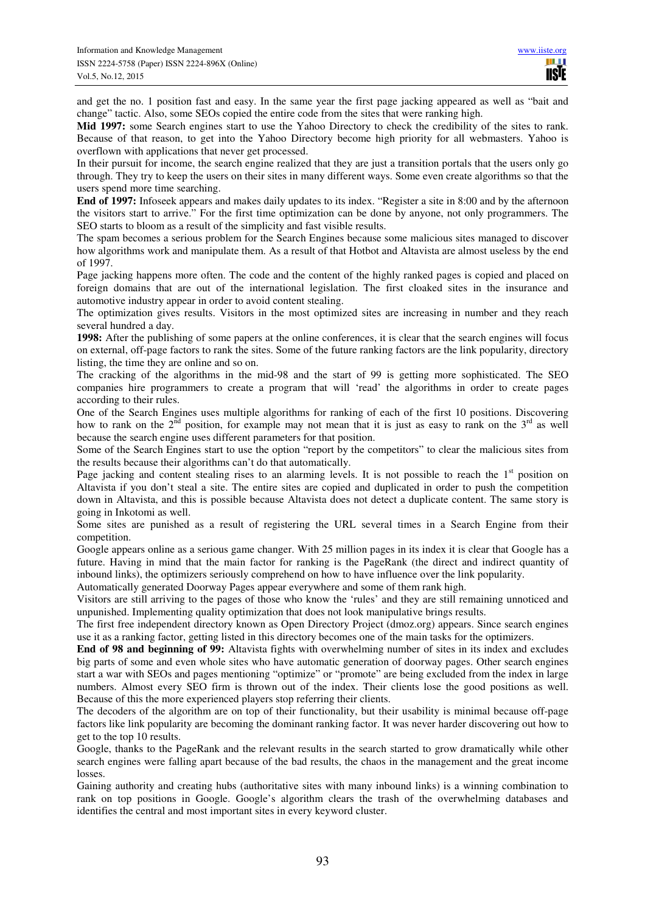and get the no. 1 position fast and easy. In the same year the first page jacking appeared as well as "bait and change" tactic. Also, some SEOs copied the entire code from the sites that were ranking high.

**Mid 1997:** some Search engines start to use the Yahoo Directory to check the credibility of the sites to rank. Because of that reason, to get into the Yahoo Directory become high priority for all webmasters. Yahoo is overflown with applications that never get processed.

In their pursuit for income, the search engine realized that they are just a transition portals that the users only go through. They try to keep the users on their sites in many different ways. Some even create algorithms so that the users spend more time searching.

**End of 1997:** Infoseek appears and makes daily updates to its index. "Register a site in 8:00 and by the afternoon the visitors start to arrive." For the first time optimization can be done by anyone, not only programmers. The SEO starts to bloom as a result of the simplicity and fast visible results.

The spam becomes a serious problem for the Search Engines because some malicious sites managed to discover how algorithms work and manipulate them. As a result of that Hotbot and Altavista are almost useless by the end of 1997.

Page jacking happens more often. The code and the content of the highly ranked pages is copied and placed on foreign domains that are out of the international legislation. The first cloaked sites in the insurance and automotive industry appear in order to avoid content stealing.

The optimization gives results. Visitors in the most optimized sites are increasing in number and they reach several hundred a day.

**1998:** After the publishing of some papers at the online conferences, it is clear that the search engines will focus on external, off-page factors to rank the sites. Some of the future ranking factors are the link popularity, directory listing, the time they are online and so on.

The cracking of the algorithms in the mid-98 and the start of 99 is getting more sophisticated. The SEO companies hire programmers to create a program that will 'read' the algorithms in order to create pages according to their rules.

One of the Search Engines uses multiple algorithms for ranking of each of the first 10 positions. Discovering how to rank on the  $2^{nd}$  position, for example may not mean that it is just as easy to rank on the  $3^{rd}$  as well because the search engine uses different parameters for that position.

Some of the Search Engines start to use the option "report by the competitors" to clear the malicious sites from the results because their algorithms can't do that automatically.

Page jacking and content stealing rises to an alarming levels. It is not possible to reach the  $1<sup>st</sup>$  position on Altavista if you don't steal a site. The entire sites are copied and duplicated in order to push the competition down in Altavista, and this is possible because Altavista does not detect a duplicate content. The same story is going in Inkotomi as well.

Some sites are punished as a result of registering the URL several times in a Search Engine from their competition.

Google appears online as a serious game changer. With 25 million pages in its index it is clear that Google has a future. Having in mind that the main factor for ranking is the PageRank (the direct and indirect quantity of inbound links), the optimizers seriously comprehend on how to have influence over the link popularity.

Automatically generated Doorway Pages appear everywhere and some of them rank high.

Visitors are still arriving to the pages of those who know the 'rules' and they are still remaining unnoticed and unpunished. Implementing quality optimization that does not look manipulative brings results.

The first free independent directory known as Open Directory Project (dmoz.org) appears. Since search engines use it as a ranking factor, getting listed in this directory becomes one of the main tasks for the optimizers.

**End of 98 and beginning of 99:** Altavista fights with overwhelming number of sites in its index and excludes big parts of some and even whole sites who have automatic generation of doorway pages. Other search engines start a war with SEOs and pages mentioning "optimize" or "promote" are being excluded from the index in large numbers. Almost every SEO firm is thrown out of the index. Their clients lose the good positions as well. Because of this the more experienced players stop referring their clients.

The decoders of the algorithm are on top of their functionality, but their usability is minimal because off-page factors like link popularity are becoming the dominant ranking factor. It was never harder discovering out how to get to the top 10 results.

Google, thanks to the PageRank and the relevant results in the search started to grow dramatically while other search engines were falling apart because of the bad results, the chaos in the management and the great income losses.

Gaining authority and creating hubs (authoritative sites with many inbound links) is a winning combination to rank on top positions in Google. Google's algorithm clears the trash of the overwhelming databases and identifies the central and most important sites in every keyword cluster.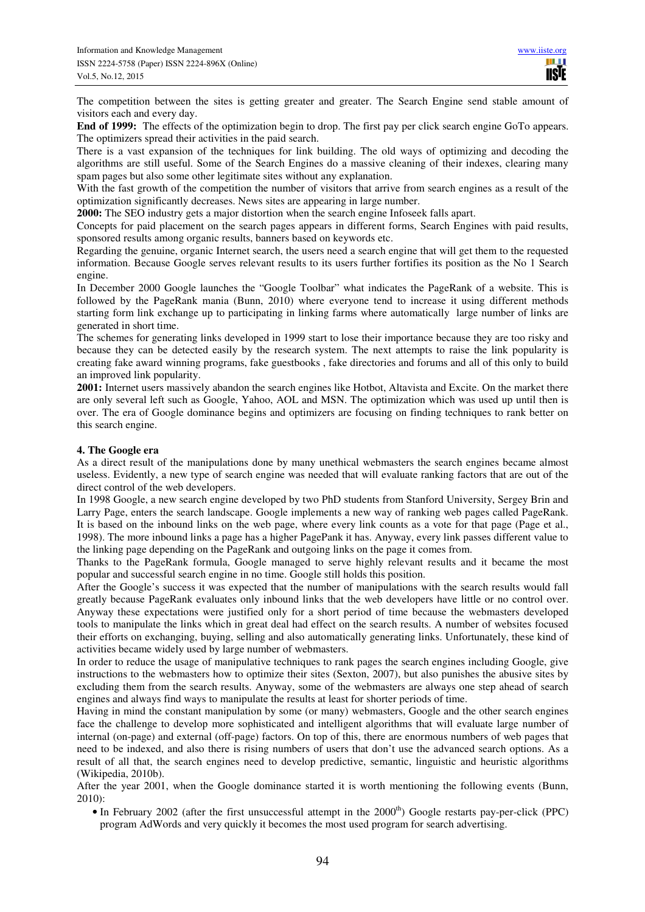The competition between the sites is getting greater and greater. The Search Engine send stable amount of visitors each and every day.

**End of 1999:** The effects of the optimization begin to drop. The first pay per click search engine GoTo appears. The optimizers spread their activities in the paid search.

There is a vast expansion of the techniques for link building. The old ways of optimizing and decoding the algorithms are still useful. Some of the Search Engines do a massive cleaning of their indexes, clearing many spam pages but also some other legitimate sites without any explanation.

With the fast growth of the competition the number of visitors that arrive from search engines as a result of the optimization significantly decreases. News sites are appearing in large number.

**2000:** The SEO industry gets a major distortion when the search engine Infoseek falls apart.

Concepts for paid placement on the search pages appears in different forms, Search Engines with paid results, sponsored results among organic results, banners based on keywords etc.

Regarding the genuine, organic Internet search, the users need a search engine that will get them to the requested information. Because Google serves relevant results to its users further fortifies its position as the No 1 Search engine.

In December 2000 Google launches the "Google Toolbar" what indicates the PageRank of a website. This is followed by the PageRank mania (Bunn, 2010) where everyone tend to increase it using different methods starting form link exchange up to participating in linking farms where automatically large number of links are generated in short time.

The schemes for generating links developed in 1999 start to lose their importance because they are too risky and because they can be detected easily by the research system. The next attempts to raise the link popularity is creating fake award winning programs, fake guestbooks , fake directories and forums and all of this only to build an improved link popularity.

**2001:** Internet users massively abandon the search engines like Hotbot, Altavista and Excite. On the market there are only several left such as Google, Yahoo, AOL and MSN. The optimization which was used up until then is over. The era of Google dominance begins and optimizers are focusing on finding techniques to rank better on this search engine.

#### **4. The Google era**

As a direct result of the manipulations done by many unethical webmasters the search engines became almost useless. Evidently, a new type of search engine was needed that will evaluate ranking factors that are out of the direct control of the web developers.

In 1998 Google, a new search engine developed by two PhD students from Stanford University, Sergey Brin and Larry Page, enters the search landscape. Google implements a new way of ranking web pages called PageRank. It is based on the inbound links on the web page, where every link counts as a vote for that page (Page et al., 1998). The more inbound links a page has a higher PagePank it has. Anyway, every link passes different value to the linking page depending on the PageRank and outgoing links on the page it comes from.

Thanks to the PageRank formula, Google managed to serve highly relevant results and it became the most popular and successful search engine in no time. Google still holds this position.

After the Google's success it was expected that the number of manipulations with the search results would fall greatly because PageRank evaluates only inbound links that the web developers have little or no control over. Anyway these expectations were justified only for a short period of time because the webmasters developed tools to manipulate the links which in great deal had effect on the search results. A number of websites focused their efforts on exchanging, buying, selling and also automatically generating links. Unfortunately, these kind of activities became widely used by large number of webmasters.

In order to reduce the usage of manipulative techniques to rank pages the search engines including Google, give instructions to the webmasters how to optimize their sites (Sexton, 2007), but also punishes the abusive sites by excluding them from the search results. Anyway, some of the webmasters are always one step ahead of search engines and always find ways to manipulate the results at least for shorter periods of time.

Having in mind the constant manipulation by some (or many) webmasters, Google and the other search engines face the challenge to develop more sophisticated and intelligent algorithms that will evaluate large number of internal (on-page) and external (off-page) factors. On top of this, there are enormous numbers of web pages that need to be indexed, and also there is rising numbers of users that don't use the advanced search options. As a result of all that, the search engines need to develop predictive, semantic, linguistic and heuristic algorithms (Wikipedia, 2010b).

After the year 2001, when the Google dominance started it is worth mentioning the following events (Bunn, 2010):

 $\bullet$  In February 2002 (after the first unsuccessful attempt in the 2000<sup>th</sup>) Google restarts pay-per-click (PPC) program AdWords and very quickly it becomes the most used program for search advertising.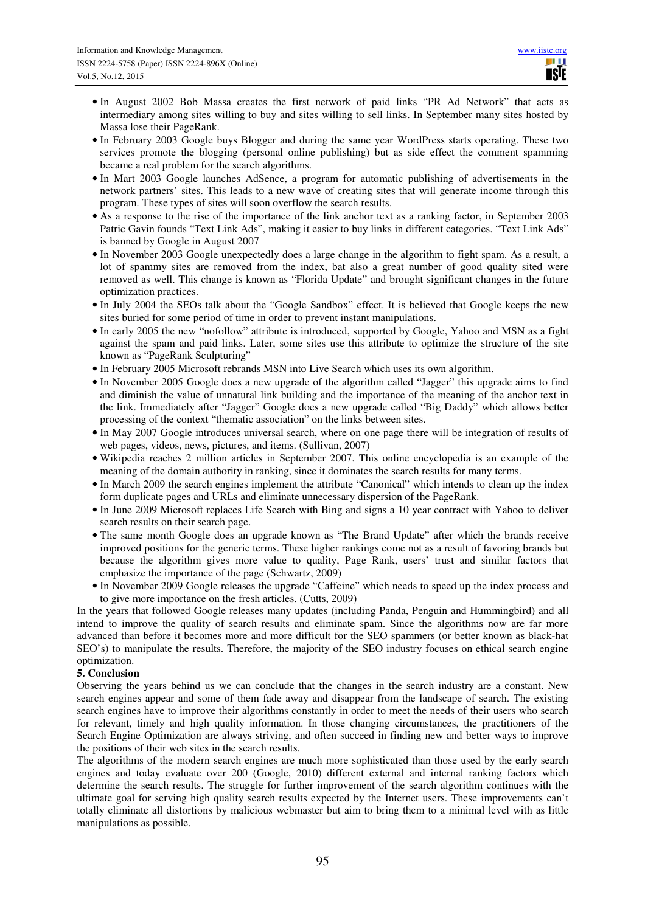- In August 2002 Bob Massa creates the first network of paid links "PR Ad Network" that acts as intermediary among sites willing to buy and sites willing to sell links. In September many sites hosted by Massa lose their PageRank.
- In February 2003 Google buys Blogger and during the same year WordPress starts operating. These two services promote the blogging (personal online publishing) but as side effect the comment spamming became a real problem for the search algorithms.
- In Mart 2003 Google launches AdSence, a program for automatic publishing of advertisements in the network partners' sites. This leads to a new wave of creating sites that will generate income through this program. These types of sites will soon overflow the search results.
- As a response to the rise of the importance of the link anchor text as a ranking factor, in September 2003 Patric Gavin founds "Text Link Ads", making it easier to buy links in different categories. "Text Link Ads" is banned by Google in August 2007
- In November 2003 Google unexpectedly does a large change in the algorithm to fight spam. As a result, a lot of spammy sites are removed from the index, bat also a great number of good quality sited were removed as well. This change is known as "Florida Update" and brought significant changes in the future optimization practices.
- In July 2004 the SEOs talk about the "Google Sandbox" effect. It is believed that Google keeps the new sites buried for some period of time in order to prevent instant manipulations.
- In early 2005 the new "nofollow" attribute is introduced, supported by Google, Yahoo and MSN as a fight against the spam and paid links. Later, some sites use this attribute to optimize the structure of the site known as "PageRank Sculpturing"
- In February 2005 Microsoft rebrands MSN into Live Search which uses its own algorithm.
- In November 2005 Google does a new upgrade of the algorithm called "Jagger" this upgrade aims to find and diminish the value of unnatural link building and the importance of the meaning of the anchor text in the link. Immediately after "Jagger" Google does a new upgrade called "Big Daddy" which allows better processing of the context "thematic association" on the links between sites.
- In May 2007 Google introduces universal search, where on one page there will be integration of results of web pages, videos, news, pictures, and items. (Sullivan, 2007)
- Wikipedia reaches 2 million articles in September 2007. This online encyclopedia is an example of the meaning of the domain authority in ranking, since it dominates the search results for many terms.
- In March 2009 the search engines implement the attribute "Canonical" which intends to clean up the index form duplicate pages and URLs and eliminate unnecessary dispersion of the PageRank.
- In June 2009 Microsoft replaces Life Search with Bing and signs a 10 year contract with Yahoo to deliver search results on their search page.
- The same month Google does an upgrade known as "The Brand Update" after which the brands receive improved positions for the generic terms. These higher rankings come not as a result of favoring brands but because the algorithm gives more value to quality, Page Rank, users' trust and similar factors that emphasize the importance of the page (Schwartz, 2009)
- In November 2009 Google releases the upgrade "Caffeine" which needs to speed up the index process and to give more importance on the fresh articles. (Cutts, 2009)

In the years that followed Google releases many updates (including Panda, Penguin and Hummingbird) and all intend to improve the quality of search results and eliminate spam. Since the algorithms now are far more advanced than before it becomes more and more difficult for the SEO spammers (or better known as black-hat SEO's) to manipulate the results. Therefore, the majority of the SEO industry focuses on ethical search engine optimization.

#### **5. Conclusion**

Observing the years behind us we can conclude that the changes in the search industry are a constant. New search engines appear and some of them fade away and disappear from the landscape of search. The existing search engines have to improve their algorithms constantly in order to meet the needs of their users who search for relevant, timely and high quality information. In those changing circumstances, the practitioners of the Search Engine Optimization are always striving, and often succeed in finding new and better ways to improve the positions of their web sites in the search results.

The algorithms of the modern search engines are much more sophisticated than those used by the early search engines and today evaluate over 200 (Google, 2010) different external and internal ranking factors which determine the search results. The struggle for further improvement of the search algorithm continues with the ultimate goal for serving high quality search results expected by the Internet users. These improvements can't totally eliminate all distortions by malicious webmaster but aim to bring them to a minimal level with as little manipulations as possible.